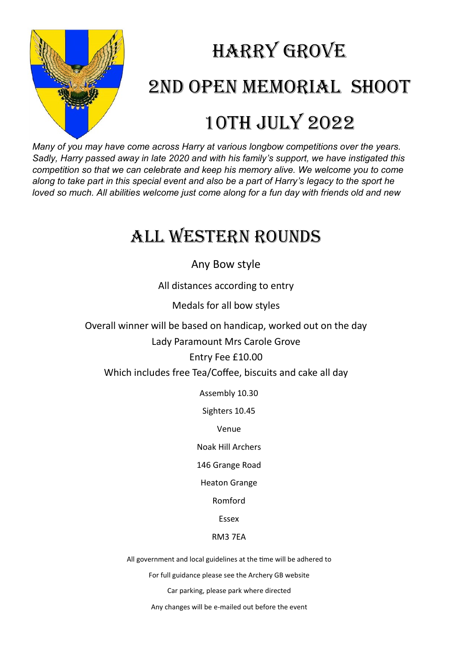

## Harry Grove 2nd Open Memorial shoot 10th July 2022

*Many of you may have come across Harry at various longbow competitions over the years. Sadly, Harry passed away in late 2020 and with his family's support, we have instigated this competition so that we can celebrate and keep his memory alive. We welcome you to come along to take part in this special event and also be a part of Harry's legacy to the sport he loved so much. All abilities welcome just come along for a fun day with friends old and new*

### All Western Rounds

Any Bow style

All distances according to entry

Medals for all bow styles

Overall winner will be based on handicap, worked out on the day Lady Paramount Mrs Carole Grove

Entry Fee £10.00

Which includes free Tea/Coffee, biscuits and cake all day

Assembly 10.30

Sighters 10.45

Venue

Noak Hill Archers

146 Grange Road

Heaton Grange

Romford

Essex

#### RM3 7EA

All government and local guidelines at the time will be adhered to

For full guidance please see the Archery GB website

Car parking, please park where directed

Any changes will be e-mailed out before the event